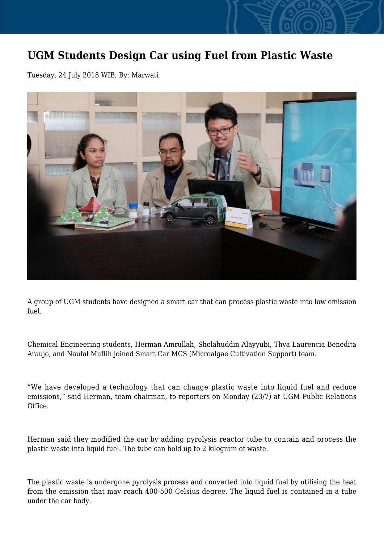## **UGM Students Design Car using Fuel from Plastic Waste**

Tuesday, 24 July 2018 WIB, By: Marwati



A group of UGM students have designed a smart car that can process plastic waste into low emission fuel.

Chemical Engineering students, Herman Amrullah, Sholahuddin Alayyubi, Thya Laurencia Benedita Araujo, and Naufal Muflih joined Smart Car MCS (Microalgae Cultivation Support) team.

"We have developed a technology that can change plastic waste into liquid fuel and reduce emissions," said Herman, team chairman, to reporters on Monday (23/7) at UGM Public Relations Office.

Herman said they modified the car by adding pyrolysis reactor tube to contain and process the plastic waste into liquid fuel. The tube can hold up to 2 kilogram of waste.

The plastic waste is undergone pyrolysis process and converted into liquid fuel by utilising the heat from the emission that may reach 400-500 Celsius degree. The liquid fuel is contained in a tube under the car body.